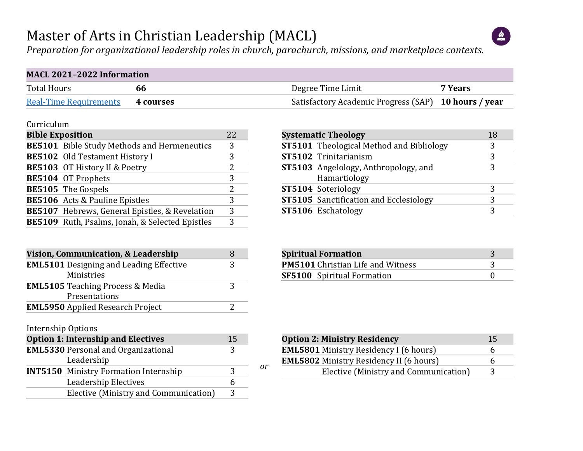#### Master of Arts in Christian Leadership (MACL)



*Preparation for organizational leadership roles in church, parachurch, missions, and marketplace contexts.*

| <b>MACL 2021-2022 Information</b> |                  |                                                      |         |  |  |  |  |  |  |  |  |
|-----------------------------------|------------------|------------------------------------------------------|---------|--|--|--|--|--|--|--|--|
| Total Hours                       | 66               | Degree Time Limit                                    | 7 Years |  |  |  |  |  |  |  |  |
| <b>Real-Time Requirements</b>     | <b>4 courses</b> | Satisfactory Academic Progress (SAP) 10 hours / year |         |  |  |  |  |  |  |  |  |

#### Curriculum

| <b>Bible Exposition</b> |                                                       |               |  |  |  |  |  |  |  |  |
|-------------------------|-------------------------------------------------------|---------------|--|--|--|--|--|--|--|--|
|                         | <b>BE5101</b> Bible Study Methods and Hermeneutics    | 3             |  |  |  |  |  |  |  |  |
|                         | <b>BE5102</b> Old Testament History I                 | 3             |  |  |  |  |  |  |  |  |
|                         | BE5103 OT History II & Poetry                         | 2             |  |  |  |  |  |  |  |  |
|                         | BE5104 OT Prophets                                    | 3             |  |  |  |  |  |  |  |  |
|                         | BE5105 The Gospels                                    | $\mathcal{L}$ |  |  |  |  |  |  |  |  |
|                         | <b>BE5106</b> Acts & Pauline Epistles                 | 3             |  |  |  |  |  |  |  |  |
|                         | <b>BE5107</b> Hebrews, General Epistles, & Revelation | 3             |  |  |  |  |  |  |  |  |
|                         | BE5109 Ruth, Psalms, Jonah, & Selected Epistles       | 3             |  |  |  |  |  |  |  |  |

| Vision, Communication, & Leadership            |   |
|------------------------------------------------|---|
| <b>EML5101</b> Designing and Leading Effective | 3 |
| Ministries                                     |   |
| <b>EML5105</b> Teaching Process & Media        | ર |
| Presentations                                  |   |
| <b>EML5950</b> Applied Research Project        |   |

Internship Options

| <b>Option 1: Internship and Electives</b>    | 15 |  |
|----------------------------------------------|----|--|
| <b>EML5330 Personal and Organizational</b>   |    |  |
| Leadership                                   |    |  |
| <b>INT5150</b> Ministry Formation Internship | ર  |  |
| Leadership Electives                         |    |  |
| Elective (Ministry and Communication)        | 3  |  |

| <b>Systematic Theology</b>                      | 18 |
|-------------------------------------------------|----|
| <b>ST5101</b> Theological Method and Bibliology | 3  |
| ST5102 Trinitarianism                           | 3  |
| <b>ST5103</b> Angelology, Anthropology, and     | 3  |
| Hamartiology                                    |    |
| ST5104 Soteriology                              | 3  |
| <b>ST5105</b> Sanctification and Ecclesiology   | 3  |
| ST5106 Eschatology                              | 3  |
|                                                 |    |

| <b>Spiritual Formation</b>               |  |
|------------------------------------------|--|
| <b>PM5101</b> Christian Life and Witness |  |
| <b>SF5100</b> Spiritual Formation        |  |

| <b>Option 2: Ministry Residency</b>            |   |  |  |  |  |  |  |  |
|------------------------------------------------|---|--|--|--|--|--|--|--|
| <b>EML5801</b> Ministry Residency I (6 hours)  | h |  |  |  |  |  |  |  |
| <b>EML5802</b> Ministry Residency II (6 hours) | h |  |  |  |  |  |  |  |
| Elective (Ministry and Communication)          |   |  |  |  |  |  |  |  |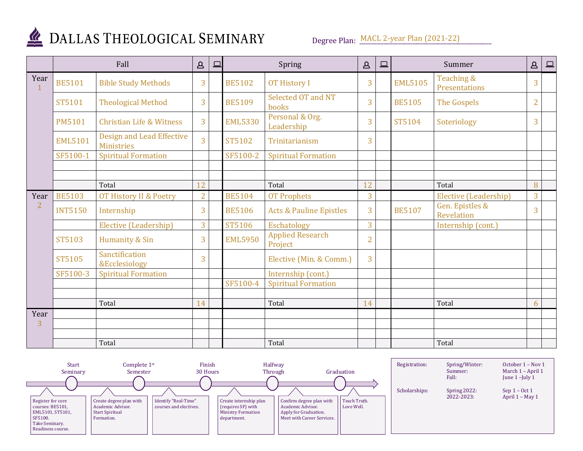

Degree Plan: MACL 2-year Plan (2021-22)

|                |                | Fall                                                  | $\Delta$       | $\square$ | Spring         |                                    | $\Delta$       | $\boxed{\square}$ |                | Summer                        | $\Delta$       | $\boxed{\square}$ |
|----------------|----------------|-------------------------------------------------------|----------------|-----------|----------------|------------------------------------|----------------|-------------------|----------------|-------------------------------|----------------|-------------------|
| Year<br>1      | <b>BE5101</b>  | <b>Bible Study Methods</b>                            | 3              |           | <b>BE5102</b>  | <b>OT History I</b>                | 3              |                   | <b>EML5105</b> | Teaching &<br>Presentations   | 3              |                   |
|                | ST5101         | <b>Theological Method</b>                             | 3              |           | <b>BE5109</b>  | Selected OT and NT<br>books        | 3              |                   | <b>BE5105</b>  | The Gospels                   | $\overline{2}$ |                   |
|                | <b>PM5101</b>  | <b>Christian Life &amp; Witness</b>                   | 3              |           | <b>EML5330</b> | Personal & Org.<br>Leadership      | 3              |                   | ST5104         | Soteriology                   | 3              |                   |
|                | <b>EML5101</b> | <b>Design and Lead Effective</b><br><b>Ministries</b> | $\overline{3}$ |           | ST5102         | Trinitarianism                     | 3              |                   |                |                               |                |                   |
|                | SF5100-1       | <b>Spiritual Formation</b>                            |                |           | SF5100-2       | <b>Spiritual Formation</b>         |                |                   |                |                               |                |                   |
|                |                |                                                       |                |           |                |                                    |                |                   |                |                               |                |                   |
|                |                | Total                                                 | 12             |           |                | Total                              | 12             |                   |                | Total                         | 8              |                   |
| Year           | <b>BE5103</b>  | <b>OT History II &amp; Poetry</b>                     | $\overline{2}$ |           | <b>BE5104</b>  | <b>OT Prophets</b>                 | 3              |                   |                | Elective (Leadership)         | 3              |                   |
| $\overline{2}$ | <b>INT5150</b> | Internship                                            | 3              |           | <b>BE5106</b>  | <b>Acts &amp; Pauline Epistles</b> | 3              |                   | <b>BE5107</b>  | Gen. Epistles &<br>Revelation | 3              |                   |
|                |                | Elective (Leadership)                                 | $\overline{3}$ |           | ST5106         | Eschatology                        | $\overline{3}$ |                   |                | Internship (cont.)            |                |                   |
|                | <b>ST5103</b>  | Humanity & Sin                                        | 3              |           | <b>EML5950</b> | <b>Applied Research</b><br>Project | $\overline{2}$ |                   |                |                               |                |                   |
|                | <b>ST5105</b>  | Sanctification<br><b>&amp;Ecclesiology</b>            | 3              |           |                | Elective (Min. & Comm.)            | 3              |                   |                |                               |                |                   |
|                | SF5100-3       | <b>Spiritual Formation</b>                            |                |           |                | Internship (cont.)                 |                |                   |                |                               |                |                   |
|                |                |                                                       |                |           | SF5100-4       | <b>Spiritual Formation</b>         |                |                   |                |                               |                |                   |
|                |                |                                                       |                |           |                |                                    |                |                   |                |                               |                |                   |
|                |                | Total                                                 | 14             |           |                | Total                              | 14             |                   |                | Total                         | 6              |                   |
| Year<br>3      |                |                                                       |                |           |                |                                    |                |                   |                |                               |                |                   |
|                |                |                                                       |                |           |                |                                    |                |                   |                |                               |                |                   |
|                |                | Total                                                 |                |           |                | Total                              |                |                   |                | Total                         |                |                   |

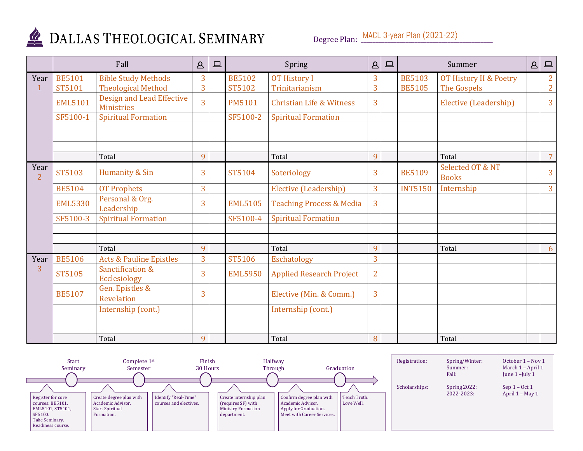

Degree Plan: MACL 3-year Plan (2021-22)

|                        |                | Fall                                                  | $\Delta$       | 旦 | Spring         |                                     | $\Delta$       | $\boxed{\square}$ |                | Summer                            | $\Delta$ | $\boxed{\square}$ |
|------------------------|----------------|-------------------------------------------------------|----------------|---|----------------|-------------------------------------|----------------|-------------------|----------------|-----------------------------------|----------|-------------------|
| Year                   | <b>BE5101</b>  | <b>Bible Study Methods</b>                            | 3              |   | <b>BE5102</b>  | <b>OT History I</b>                 | 3              |                   | <b>BE5103</b>  | <b>OT History II &amp; Poetry</b> |          | 2 <sup>1</sup>    |
|                        | ST5101         | <b>Theological Method</b>                             | $\overline{3}$ |   | ST5102         | Trinitarianism                      | 3              |                   | <b>BE5105</b>  | The Gospels                       |          | 2 <sup>1</sup>    |
|                        | <b>EML5101</b> | <b>Design and Lead Effective</b><br><b>Ministries</b> | $\overline{3}$ |   | <b>PM5101</b>  | <b>Christian Life &amp; Witness</b> | 3              |                   |                | Elective (Leadership)             |          | 3                 |
|                        | SF5100-1       | <b>Spiritual Formation</b>                            |                |   | SF5100-2       | <b>Spiritual Formation</b>          |                |                   |                |                                   |          |                   |
|                        |                |                                                       |                |   |                |                                     |                |                   |                |                                   |          |                   |
|                        |                |                                                       |                |   |                |                                     |                |                   |                |                                   |          |                   |
|                        |                | Total                                                 | 9              |   |                | Total                               | 9              |                   |                | Total                             |          | $\overline{7}$    |
| Year<br>$\overline{2}$ | <b>ST5103</b>  | Humanity & Sin                                        | 3              |   | ST5104         | Soteriology                         | 3              |                   | <b>BE5109</b>  | Selected OT & NT<br><b>Books</b>  |          | 3                 |
|                        | <b>BE5104</b>  | <b>OT Prophets</b>                                    | 3              |   |                | Elective (Leadership)               | 3              |                   | <b>INT5150</b> | Internship                        |          | $\mathbf{3}$      |
|                        | <b>EML5330</b> | Personal & Org.<br>Leadership                         | 3              |   | <b>EML5105</b> | <b>Teaching Process &amp; Media</b> | $\overline{3}$ |                   |                |                                   |          |                   |
|                        | SF5100-3       | <b>Spiritual Formation</b>                            |                |   | SF5100-4       | <b>Spiritual Formation</b>          |                |                   |                |                                   |          |                   |
|                        |                |                                                       |                |   |                |                                     |                |                   |                |                                   |          |                   |
|                        |                |                                                       |                |   |                |                                     |                |                   |                |                                   |          |                   |
|                        |                | Total                                                 | 9              |   |                | Total                               | 9              |                   |                | Total                             |          | 6                 |
| Year                   | <b>BE5106</b>  | <b>Acts &amp; Pauline Epistles</b>                    | $\overline{3}$ |   | ST5106         | Eschatology                         | 3              |                   |                |                                   |          |                   |
| 3                      | <b>ST5105</b>  | Sanctification &<br><b>Ecclesiology</b>               | 3              |   | <b>EML5950</b> | <b>Applied Research Project</b>     | $\overline{2}$ |                   |                |                                   |          |                   |
|                        | <b>BE5107</b>  | Gen. Epistles &<br><b>Revelation</b>                  | 3              |   |                | Elective (Min. & Comm.)             | 3              |                   |                |                                   |          |                   |
|                        |                | Internship (cont.)                                    |                |   |                | Internship (cont.)                  |                |                   |                |                                   |          |                   |
|                        |                |                                                       |                |   |                |                                     |                |                   |                |                                   |          |                   |
|                        |                |                                                       |                |   |                |                                     |                |                   |                |                                   |          |                   |
|                        |                | Total                                                 | 9              |   |                | Total                               | 8              |                   |                | Total                             |          |                   |

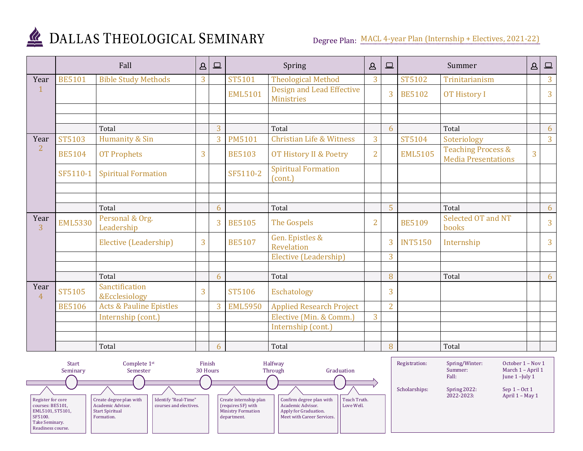

Degree Plan: MACL 4-year Plan (Internship + Electives, 2021-22)

|                        |                | Fall                                       | $\Delta$       | $\Box$ |                | Spring                                         |                | $\boxed{\square}$ |                | Summer                                                      | $\Delta$       | $\qquad \qquad \Box$ |
|------------------------|----------------|--------------------------------------------|----------------|--------|----------------|------------------------------------------------|----------------|-------------------|----------------|-------------------------------------------------------------|----------------|----------------------|
| Year                   | <b>BE5101</b>  | <b>Bible Study Methods</b>                 | $\overline{3}$ |        | ST5101         | <b>Theological Method</b>                      | 3              |                   | ST5102         | Trinitarianism                                              |                | $\overline{3}$       |
| 1                      |                |                                            |                |        | <b>EML5101</b> | Design and Lead Effective<br><b>Ministries</b> |                | 3                 | <b>BE5102</b>  | <b>OT History I</b>                                         |                | 3                    |
|                        |                |                                            |                |        |                |                                                |                |                   |                |                                                             |                |                      |
|                        |                |                                            |                |        |                |                                                |                |                   |                |                                                             |                |                      |
|                        |                | Total                                      |                | 3      |                | Total                                          |                | 6                 |                | Total                                                       |                | 6                    |
| Year                   | ST5103         | Humanity & Sin                             |                | 3      | <b>PM5101</b>  | <b>Christian Life &amp; Witness</b>            | 3              |                   | ST5104         | Soteriology                                                 |                | 3 <sup>1</sup>       |
| $\overline{2}$         | <b>BE5104</b>  | <b>OT Prophets</b>                         | 3              |        | <b>BE5103</b>  | <b>OT History II &amp; Poetry</b>              | $\overline{2}$ |                   | <b>EML5105</b> | <b>Teaching Process &amp;</b><br><b>Media Presentations</b> | $\overline{3}$ |                      |
|                        | SF5110-1       | <b>Spiritual Formation</b>                 |                |        | SF5110-2       | <b>Spiritual Formation</b><br>(cont.)          |                |                   |                |                                                             |                |                      |
|                        |                |                                            |                |        |                |                                                |                |                   |                |                                                             |                |                      |
|                        |                | Total                                      |                | 6      |                | Total                                          |                | 5                 |                | Total                                                       |                | 6                    |
| Year<br>3              | <b>EML5330</b> | Personal & Org.<br>Leadership              |                | 3      | <b>BE5105</b>  | <b>The Gospels</b>                             | $\overline{2}$ |                   | <b>BE5109</b>  | Selected OT and NT<br>books                                 |                | 3                    |
|                        |                | Elective (Leadership)                      | 3              |        | <b>BE5107</b>  | Gen. Epistles &<br>Revelation                  |                | 3                 | <b>INT5150</b> | Internship                                                  |                | 3                    |
|                        |                |                                            |                |        |                | Elective (Leadership)                          |                | 3                 |                |                                                             |                |                      |
|                        |                |                                            |                |        |                |                                                |                |                   |                |                                                             |                |                      |
|                        |                | Total                                      |                | 6      |                | Total                                          |                | 8                 |                | Total                                                       |                | 6                    |
| Year<br>$\overline{4}$ | <b>ST5105</b>  | Sanctification<br><b>&amp;Ecclesiology</b> | 3              |        | ST5106         | Eschatology                                    |                | 3                 |                |                                                             |                |                      |
|                        | <b>BE5106</b>  | <b>Acts &amp; Pauline Epistles</b>         |                | 3      | <b>EML5950</b> | <b>Applied Research Project</b>                |                | $\overline{2}$    |                |                                                             |                |                      |
|                        |                | Internship (cont.)                         |                |        |                | Elective (Min. & Comm.)                        | 3              |                   |                |                                                             |                |                      |
|                        |                |                                            |                |        |                | Internship (cont.)                             |                |                   |                |                                                             |                |                      |
|                        |                |                                            |                |        |                |                                                |                |                   |                |                                                             |                |                      |
|                        |                | Total                                      |                | 6      |                | Total                                          |                | 8                 |                | Total                                                       |                |                      |

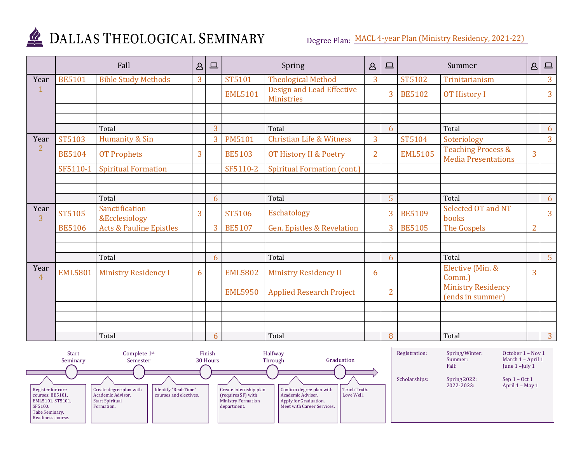

Degree Plan: MACL 4-year Plan (Ministry Residency, 2021-22)

|                        |                | Fall                               | $\Delta$ | $\square$      |                | Spring                                                | $\Delta$       | $\square$      |                | Summer                                                      | $\Delta$       | $\qquad \qquad \Box$ |
|------------------------|----------------|------------------------------------|----------|----------------|----------------|-------------------------------------------------------|----------------|----------------|----------------|-------------------------------------------------------------|----------------|----------------------|
| Year                   | <b>BE5101</b>  | <b>Bible Study Methods</b>         | 3        |                | ST5101         | <b>Theological Method</b>                             | 3              |                | ST5102         | Trinitarianism                                              |                | 3                    |
|                        |                |                                    |          |                | <b>EML5101</b> | <b>Design and Lead Effective</b><br><b>Ministries</b> |                | 3              | <b>BE5102</b>  | <b>OT History I</b>                                         |                | 3 <sup>1</sup>       |
|                        |                |                                    |          |                |                |                                                       |                |                |                |                                                             |                |                      |
|                        |                |                                    |          |                |                |                                                       |                |                |                |                                                             |                |                      |
|                        |                | Total                              |          | $\overline{3}$ |                | Total                                                 |                | 6              |                | Total                                                       |                | 6                    |
| Year                   | ST5103         | Humanity & Sin                     |          | 3              | <b>PM5101</b>  | <b>Christian Life &amp; Witness</b>                   | 3              |                | ST5104         | Soteriology                                                 |                | $\overline{3}$       |
| $\overline{2}$         | <b>BE5104</b>  | <b>OT Prophets</b>                 | 3        |                | <b>BE5103</b>  | OT History II & Poetry                                | $\overline{2}$ |                | <b>EML5105</b> | <b>Teaching Process &amp;</b><br><b>Media Presentations</b> | 3              |                      |
|                        | SF5110-1       | <b>Spiritual Formation</b>         |          |                | SF5110-2       | <b>Spiritual Formation (cont.)</b>                    |                |                |                |                                                             |                |                      |
|                        |                |                                    |          |                |                |                                                       |                |                |                |                                                             |                |                      |
|                        |                |                                    |          |                |                |                                                       |                |                |                |                                                             |                |                      |
|                        |                | Total                              |          | 6              |                | Total                                                 |                | 5              |                | Total                                                       |                | 6                    |
| Year<br>3              | <b>ST5105</b>  | Sanctification<br>&Ecclesiology    | 3        |                | <b>ST5106</b>  | Eschatology                                           |                | 3              | <b>BE5109</b>  | Selected OT and NT<br>books                                 |                | $\overline{3}$       |
|                        | <b>BE5106</b>  | <b>Acts &amp; Pauline Epistles</b> |          | 3              | <b>BE5107</b>  | <b>Gen. Epistles &amp; Revelation</b>                 |                | 3              | <b>BE5105</b>  | The Gospels                                                 | $\overline{2}$ |                      |
|                        |                |                                    |          |                |                |                                                       |                |                |                |                                                             |                |                      |
|                        |                |                                    |          |                |                |                                                       |                |                |                |                                                             |                |                      |
|                        |                | Total                              |          | 6              |                | Total                                                 |                | 6              |                | Total                                                       |                | 5 <sup>1</sup>       |
| Year<br>$\overline{4}$ | <b>EML5801</b> | <b>Ministry Residency I</b>        | 6        |                | <b>EML5802</b> | <b>Ministry Residency II</b>                          | 6              |                |                | Elective (Min. &<br>Comm.)                                  | 3              |                      |
|                        |                |                                    |          |                | <b>EML5950</b> | <b>Applied Research Project</b>                       |                | $\overline{2}$ |                | <b>Ministry Residency</b><br>(ends in summer)               |                |                      |
|                        |                |                                    |          |                |                |                                                       |                |                |                |                                                             |                |                      |
|                        |                |                                    |          |                |                |                                                       |                |                |                |                                                             |                |                      |
|                        |                |                                    |          |                |                |                                                       |                |                |                |                                                             |                |                      |
|                        |                | Total                              |          | 6              |                | Total                                                 |                | 8              |                | Total                                                       |                | $\overline{3}$       |